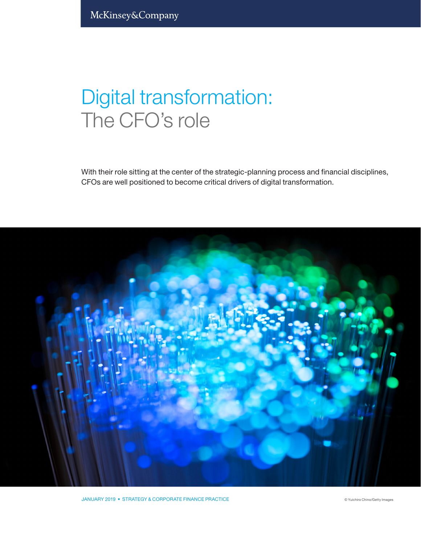## Digital transformation: The CFO's role

With their role sitting at the center of the strategic-planning process and financial disciplines, CFOs are well positioned to become critical drivers of digital transformation.

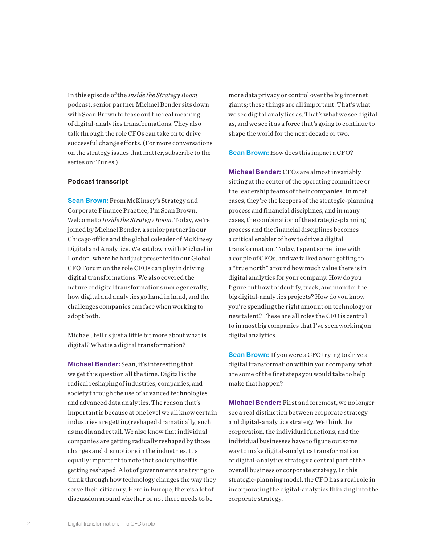In this episode of the *Inside the Strategy Room* podcast, senior partner Michael Bender sits down with Sean Brown to tease out the real meaning of digital-analytics transformations. They also talk through the role CFOs can take on to drive successful change efforts. (For more conversations on the strategy issues that matter, subscribe to the series on iTunes.)

## Podcast transcript

Sean Brown: From McKinsey's Strategy and Corporate Finance Practice, I'm Sean Brown. Welcome to *Inside the Strategy Room*. Today, we're joined by Michael Bender, a senior partner in our Chicago office and the global coleader of McKinsey Digital and Analytics. We sat down with Michael in London, where he had just presented to our Global CFO Forum on the role CFOs can play in driving digital transformations. We also covered the nature of digital transformations more generally, how digital and analytics go hand in hand, and the challenges companies can face when working to adopt both.

Michael, tell us just a little bit more about what is digital? What is a digital transformation?

Michael Bender: Sean, it's interesting that we get this question all the time. Digital is the radical reshaping of industries, companies, and society through the use of advanced technologies and advanced data analytics. The reason that's important is because at one level we all know certain industries are getting reshaped dramatically, such as media and retail. We also know that individual companies are getting radically reshaped by those changes and disruptions in the industries. It's equally important to note that society itself is getting reshaped. A lot of governments are trying to think through how technology changes the way they serve their citizenry. Here in Europe, there's a lot of discussion around whether or not there needs to be

more data privacy or control over the big internet giants; these things are all important. That's what we see digital analytics as. That's what we see digital as, and we see it as a force that's going to continue to shape the world for the next decade or two.

**Sean Brown:** How does this impact a CFO?

Michael Bender: CFOs are almost invariably sitting at the center of the operating committee or the leadership teams of their companies. In most cases, they're the keepers of the strategic-planning process and financial disciplines, and in many cases, the combination of the strategic-planning process and the financial disciplines becomes a critical enabler of how to drive a digital transformation. Today, I spent some time with a couple of CFOs, and we talked about getting to a "true north" around how much value there is in digital analytics for your company. How do you figure out how to identify, track, and monitor the big digital-analytics projects? How do you know you're spending the right amount on technology or new talent? These are all roles the CFO is central to in most big companies that I've seen working on digital analytics.

**Sean Brown:** If you were a CFO trying to drive a digital transformation within your company, what are some of the first steps you would take to help make that happen?

Michael Bender: First and foremost, we no longer see a real distinction between corporate strategy and digital-analytics strategy. We think the corporation, the individual functions, and the individual businesses have to figure out some way to make digital-analytics transformation or digital-analytics strategy a central part of the overall business or corporate strategy. In this strategic-planning model, the CFO has a real role in incorporating the digital-analytics thinking into the corporate strategy.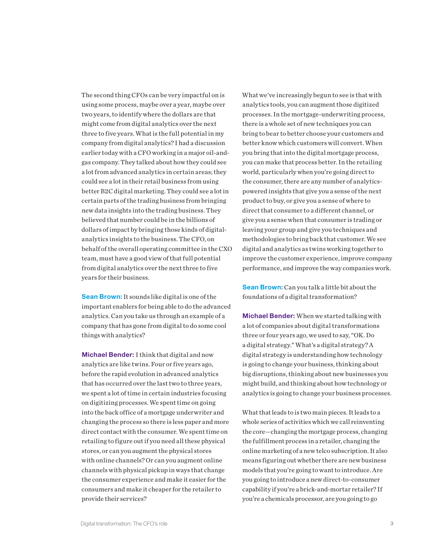The second thing CFOs can be very impactful on is using some process, maybe over a year, maybe over two years, to identify where the dollars are that might come from digital analytics over the next three to five years. What is the full potential in my company from digital analytics? I had a discussion earlier today with a CFO working in a major oil-andgas company. They talked about how they could see a lot from advanced analytics in certain areas; they could see a lot in their retail business from using better B2C digital marketing. They could see a lot in certain parts of the trading business from bringing new data insights into the trading business. They believed that number could be in the billions of dollars of impact by bringing those kinds of digitalanalytics insights to the business. The CFO, on behalf of the overall operating committee in the CXO team, must have a good view of that full potential from digital analytics over the next three to five years for their business.

**Sean Brown:** It sounds like digital is one of the important enablers for being able to do the advanced analytics. Can you take us through an example of a company that has gone from digital to do some cool things with analytics?

Michael Bender: I think that digital and now analytics are like twins. Four or five years ago, before the rapid evolution in advanced analytics that has occurred over the last two to three years, we spent a lot of time in certain industries focusing on digitizing processes. We spent time on going into the back office of a mortgage underwriter and changing the process so there is less paper and more direct contact with the consumer. We spent time on retailing to figure out if you need all these physical stores, or can you augment the physical stores with online channels? Or can you augment online channels with physical pickup in ways that change the consumer experience and make it easier for the consumers and make it cheaper for the retailer to provide their services?

What we've increasingly begun to see is that with analytics tools, you can augment those digitized processes. In the mortgage-underwriting process, there is a whole set of new techniques you can bring to bear to better choose your customers and better know which customers will convert. When you bring that into the digital mortgage process, you can make that process better. In the retailing world, particularly when you're going direct to the consumer, there are any number of analyticspowered insights that give you a sense of the next product to buy, or give you a sense of where to direct that consumer to a different channel, or give you a sense when that consumer is trading or leaving your group and give you techniques and methodologies to bring back that customer. We see digital and analytics as twins working together to improve the customer experience, improve company performance, and improve the way companies work.

**Sean Brown:** Can you talk a little bit about the foundations of a digital transformation?

Michael Bender: When we started talking with a lot of companies about digital transformations three or four years ago, we used to say, "OK. Do a digital strategy." What's a digital strategy? A digital strategy is understanding how technology is going to change your business, thinking about big disruptions, thinking about new businesses you might build, and thinking about how technology or analytics is going to change your business processes.

What that leads to is two main pieces. It leads to a whole series of activities which we call reinventing the core—changing the mortgage process, changing the fulfillment process in a retailer, changing the online marketing of a new telco subscription. It also means figuring out whether there are new business models that you're going to want to introduce. Are you going to introduce a new direct-to-consumer capability if you're a brick-and-mortar retailer? If you're a chemicals processor, are you going to go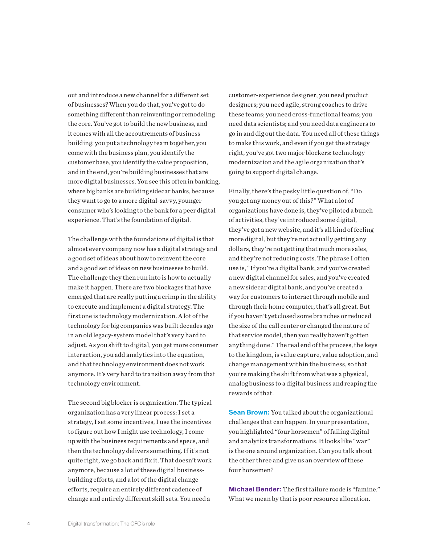out and introduce a new channel for a different set of businesses? When you do that, you've got to do something different than reinventing or remodeling the core. You've got to build the new business, and it comes with all the accoutrements of business building: you put a technology team together, you come with the business plan, you identify the customer base, you identify the value proposition, and in the end, you're building businesses that are more digital businesses. You see this often in banking, where big banks are building sidecar banks, because they want to go to a more digital-savvy, younger consumer who's looking to the bank for a peer digital experience. That's the foundation of digital.

The challenge with the foundations of digital is that almost every company now has a digital strategy and a good set of ideas about how to reinvent the core and a good set of ideas on new businesses to build. The challenge they then run into is how to actually make it happen. There are two blockages that have emerged that are really putting a crimp in the ability to execute and implement a digital strategy. The first one is technology modernization. A lot of the technology for big companies was built decades ago in an old legacy-system model that's very hard to adjust. As you shift to digital, you get more consumer interaction, you add analytics into the equation, and that technology environment does not work anymore. It's very hard to transition away from that technology environment.

The second big blocker is organization. The typical organization has a very linear process: I set a strategy, I set some incentives, I use the incentives to figure out how I might use technology, I come up with the business requirements and specs, and then the technology delivers something. If it's not quite right, we go back and fix it. That doesn't work anymore, because a lot of these digital businessbuilding efforts, and a lot of the digital change efforts, require an entirely different cadence of change and entirely different skill sets. You need a

customer-experience designer; you need product designers; you need agile, strong coaches to drive these teams; you need cross-functional teams; you need data scientists; and you need data engineers to go in and dig out the data. You need all of these things to make this work, and even if you get the strategy right, you've got two major blockers: technology modernization and the agile organization that's going to support digital change.

Finally, there's the pesky little question of, "Do you get any money out of this?" What a lot of organizations have done is, they've piloted a bunch of activities, they've introduced some digital, they've got a new website, and it's all kind of feeling more digital, but they're not actually getting any dollars, they're not getting that much more sales, and they're not reducing costs. The phrase I often use is, "If you're a digital bank, and you've created a new digital channel for sales, and you've created a new sidecar digital bank, and you've created a way for customers to interact through mobile and through their home computer, that's all great. But if you haven't yet closed some branches or reduced the size of the call center or changed the nature of that service model, then you really haven't gotten anything done." The real end of the process, the keys to the kingdom, is value capture, value adoption, and change management within the business, so that you're making the shift from what was a physical, analog business to a digital business and reaping the rewards of that.

**Sean Brown:** You talked about the organizational challenges that can happen. In your presentation, you highlighted "four horsemen" of failing digital and analytics transformations. It looks like "war" is the one around organization. Can you talk about the other three and give us an overview of these four horsemen?

Michael Bender: The first failure mode is "famine." What we mean by that is poor resource allocation.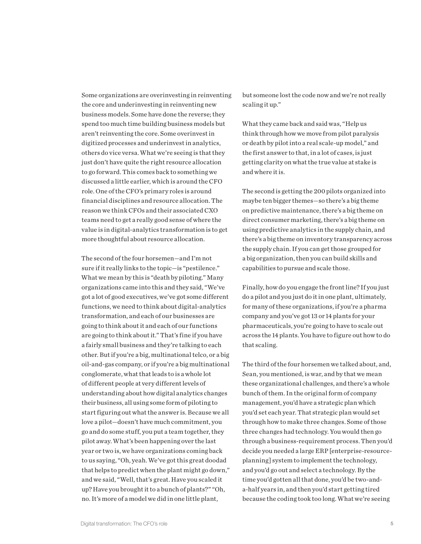Some organizations are overinvesting in reinventing the core and underinvesting in reinventing new business models. Some have done the reverse; they spend too much time building business models but aren't reinventing the core. Some overinvest in digitized processes and underinvest in analytics, others do vice versa. What we're seeing is that they just don't have quite the right resource allocation to go forward. This comes back to something we discussed a little earlier, which is around the CFO role. One of the CFO's primary roles is around financial disciplines and resource allocation. The reason we think CFOs and their associated CXO teams need to get a really good sense of where the value is in digital-analytics transformation is to get more thoughtful about resource allocation.

The second of the four horsemen—and I'm not sure if it really links to the topic—is "pestilence." What we mean by this is "death by piloting." Many organizations came into this and they said, "We've got a lot of good executives, we've got some different functions, we need to think about digital-analytics transformation, and each of our businesses are going to think about it and each of our functions are going to think about it." That's fine if you have a fairly small business and they're talking to each other. But if you're a big, multinational telco, or a big oil-and-gas company, or if you're a big multinational conglomerate, what that leads to is a whole lot of different people at very different levels of understanding about how digital analytics changes their business, all using some form of piloting to start figuring out what the answer is. Because we all love a pilot—doesn't have much commitment, you go and do some stuff, you put a team together, they pilot away. What's been happening over the last year or two is, we have organizations coming back to us saying, "Oh, yeah. We've got this great doodad that helps to predict when the plant might go down," and we said, "Well, that's great. Have you scaled it up? Have you brought it to a bunch of plants?" "Oh, no. It's more of a model we did in one little plant,

but someone lost the code now and we're not really scaling it up."

What they came back and said was, "Help us think through how we move from pilot paralysis or death by pilot into a real scale-up model," and the first answer to that, in a lot of cases, is just getting clarity on what the true value at stake is and where it is.

The second is getting the 200 pilots organized into maybe ten bigger themes—so there's a big theme on predictive maintenance, there's a big theme on direct consumer marketing, there's a big theme on using predictive analytics in the supply chain, and there's a big theme on inventory transparency across the supply chain. If you can get those grouped for a big organization, then you can build skills and capabilities to pursue and scale those.

Finally, how do you engage the front line? If you just do a pilot and you just do it in one plant, ultimately, for many of these organizations, if you're a pharma company and you've got 13 or 14 plants for your pharmaceuticals, you're going to have to scale out across the 14 plants. You have to figure out how to do that scaling.

The third of the four horsemen we talked about, and, Sean, you mentioned, is war, and by that we mean these organizational challenges, and there's a whole bunch of them. In the original form of company management, you'd have a strategic plan which you'd set each year. That strategic plan would set through how to make three changes. Some of those three changes had technology. You would then go through a business-requirement process. Then you'd decide you needed a large ERP [enterprise-resourceplanning] system to implement the technology, and you'd go out and select a technology. By the time you'd gotten all that done, you'd be two-anda-half years in, and then you'd start getting tired because the coding took too long. What we're seeing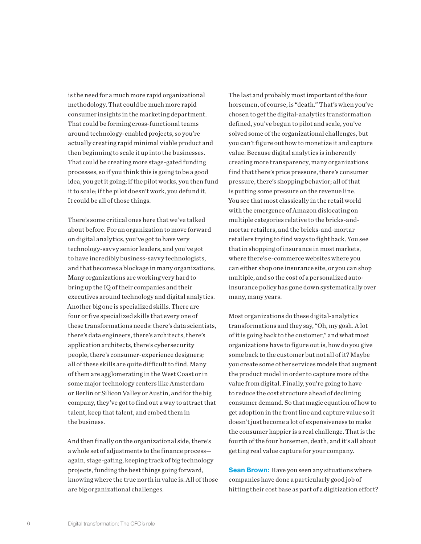is the need for a much more rapid organizational methodology. That could be much more rapid consumer insights in the marketing department. That could be forming cross-functional teams around technology-enabled projects, so you're actually creating rapid minimal viable product and then beginning to scale it up into the businesses. That could be creating more stage-gated funding processes, so if you think this is going to be a good idea, you get it going; if the pilot works, you then fund it to scale; if the pilot doesn't work, you defund it. It could be all of those things.

There's some critical ones here that we've talked about before. For an organization to move forward on digital analytics, you've got to have very technology-savvy senior leaders, and you've got to have incredibly business-savvy technologists, and that becomes a blockage in many organizations. Many organizations are working very hard to bring up the IQ of their companies and their executives around technology and digital analytics. Another big one is specialized skills. There are four or five specialized skills that every one of these transformations needs: there's data scientists, there's data engineers, there's architects, there's application architects, there's cybersecurity people, there's consumer-experience designers; all of these skills are quite difficult to find. Many of them are agglomerating in the West Coast or in some major technology centers like Amsterdam or Berlin or Silicon Valley or Austin, and for the big company, they've got to find out a way to attract that talent, keep that talent, and embed them in the business.

And then finally on the organizational side, there's a whole set of adjustments to the finance process again, stage-gating, keeping track of big technology projects, funding the best things going forward, knowing where the true north in value is. All of those are big organizational challenges.

The last and probably most important of the four horsemen, of course, is "death." That's when you've chosen to get the digital-analytics transformation defined, you've begun to pilot and scale, you've solved some of the organizational challenges, but you can't figure out how to monetize it and capture value. Because digital analytics is inherently creating more transparency, many organizations find that there's price pressure, there's consumer pressure, there's shopping behavior; all of that is putting some pressure on the revenue line. You see that most classically in the retail world with the emergence of Amazon dislocating on multiple categories relative to the bricks-andmortar retailers, and the bricks-and-mortar retailers trying to find ways to fight back. You see that in shopping of insurance in most markets, where there's e-commerce websites where you can either shop one insurance site, or you can shop multiple, and so the cost of a personalized autoinsurance policy has gone down systematically over many, many years.

Most organizations do these digital-analytics transformations and they say, "Oh, my gosh. A lot of it is going back to the customer," and what most organizations have to figure out is, how do you give some back to the customer but not all of it? Maybe you create some other services models that augment the product model in order to capture more of the value from digital. Finally, you're going to have to reduce the cost structure ahead of declining consumer demand. So that magic equation of how to get adoption in the front line and capture value so it doesn't just become a lot of expensiveness to make the consumer happier is a real challenge. That is the fourth of the four horsemen, death, and it's all about getting real value capture for your company.

**Sean Brown:** Have you seen any situations where companies have done a particularly good job of hitting their cost base as part of a digitization effort?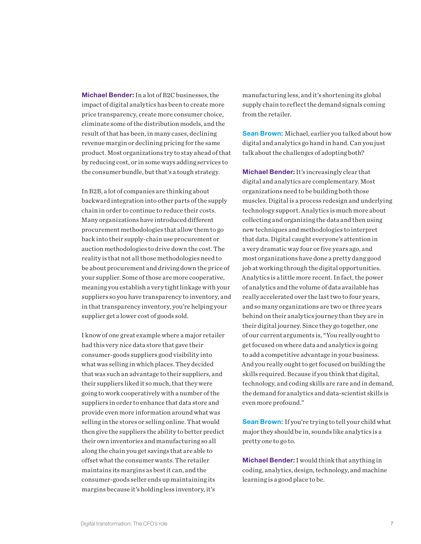Michael Bender: In a lot of B2C businesses, the impact of digital analytics has been to create more price transparency, create more consumer choice, eliminate some of the distribution models, and the result of that has been, in many cases, declining revenue margin or declining pricing for the same product. Most organizations try to stay ahead of that by reducing cost, or in some ways adding services to the consumer bundle, but that's a tough strategy.

In B2B, a lot of companies are thinking about backward integration into other parts of the supply chain in order to continue to reduce their costs. Many organizations have introduced different procurement methodologies that allow them to go back into their supply-chain use procurement or auction methodologies to drive down the cost. The reality is that not all those methodologies need to be about procurement and driving down the price of your supplier. Some of those are more cooperative, meaning you establish a very tight linkage with your suppliers so you have transparency to inventory, and in that transparency inventory, you're helping your supplier get a lower cost of goods sold.

I know of one great example where a major retailer had this very nice data store that gave their consumer-goods suppliers good visibility into what was selling in which places. They decided that was such an advantage to their suppliers, and their suppliers liked it so much, that they were going to work cooperatively with a number of the suppliers in order to enhance that data store and provide even more information around what was selling in the stores or selling online. That would then give the suppliers the ability to better predict their own inventories and manufacturing so all along the chain you get savings that are able to offset what the consumer wants. The retailer maintains its margins as best it can, and the consumer-goods seller ends up maintaining its margins because it's holding less inventory, it's

manufacturing less, and it's shortening its global supply chain to reflect the demand signals coming from the retailer.

**Sean Brown:** Michael, earlier you talked about how digital and analytics go hand in hand. Can you just talk about the challenges of adopting both?

Michael Bender: It's increasingly clear that digital and analytics are complementary. Most organizations need to be building both those muscles. Digital is a process redesign and underlying technology support. Analytics is much more about collecting and organizing the data and then using new techniques and methodologies to interpret that data. Digital caught everyone's attention in a very dramatic way four or five years ago, and most organizations have done a pretty dang good job at working through the digital opportunities. Analytics is a little more recent. In fact, the power of analytics and the volume of data available has really accelerated over the last two to four years, and so many organizations are two or three years behind on their analytics journey than they are in their digital journey. Since they go together, one of our current arguments is, "You really ought to get focused on where data and analytics is going to add a competitive advantage in your business. And you really ought to get focused on building the skills required. Because if you think that digital, technology, and coding skills are rare and in demand, the demand for analytics and data-scientist skills is even more profound."

Sean Brown: If you're trying to tell your child what major they should be in, sounds like analytics is a pretty one to go to.

Michael Bender: I would think that anything in coding, analytics, design, technology, and machine learning is a good place to be.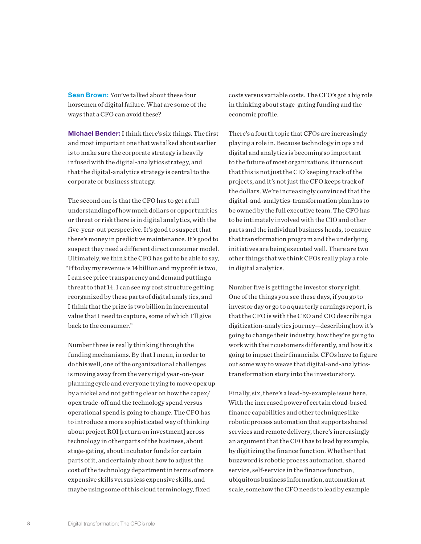**Sean Brown:** You've talked about these four horsemen of digital failure. What are some of the ways that a CFO can avoid these?

Michael Bender: I think there's six things. The first and most important one that we talked about earlier is to make sure the corporate strategy is heavily infused with the digital-analytics strategy, and that the digital-analytics strategy is central to the corporate or business strategy.

The second one is that the CFO has to get a full understanding of how much dollars or opportunities or threat or risk there is in digital analytics, with the five-year-out perspective. It's good to suspect that there's money in predictive maintenance. It's good to suspect they need a different direct consumer model. Ultimately, we think the CFO has got to be able to say, "If today my revenue is 14 billion and my profit is two, I can see price transparency and demand putting a threat to that 14. I can see my cost structure getting reorganized by these parts of digital analytics, and I think that the prize is two billion in incremental value that I need to capture, some of which I'll give back to the consumer."

Number three is really thinking through the funding mechanisms. By that I mean, in order to do this well, one of the organizational challenges is moving away from the very rigid year-on-year planning cycle and everyone trying to move opex up by a nickel and not getting clear on how the capex/ opex trade-off and the technology spend versus operational spend is going to change. The CFO has to introduce a more sophisticated way of thinking about project ROI [return on investment] across technology in other parts of the business, about stage-gating, about incubator funds for certain parts of it, and certainly about how to adjust the cost of the technology department in terms of more expensive skills versus less expensive skills, and maybe using some of this cloud terminology, fixed

costs versus variable costs. The CFO's got a big role in thinking about stage-gating funding and the economic profile.

There's a fourth topic that CFOs are increasingly playing a role in. Because technology in ops and digital and analytics is becoming so important to the future of most organizations, it turns out that this is not just the CIO keeping track of the projects, and it's not just the CFO keeps track of the dollars. We're increasingly convinced that the digital-and-analytics-transformation plan has to be owned by the full executive team. The CFO has to be intimately involved with the CIO and other parts and the individual business heads, to ensure that transformation program and the underlying initiatives are being executed well. There are two other things that we think CFOs really play a role in digital analytics.

Number five is getting the investor story right. One of the things you see these days, if you go to investor day or go to a quarterly earnings report, is that the CFO is with the CEO and CIO describing a digitization-analytics journey—describing how it's going to change their industry, how they're going to work with their customers differently, and how it's going to impact their financials. CFOs have to figure out some way to weave that digital-and-analyticstransformation story into the investor story.

Finally, six, there's a lead-by-example issue here. With the increased power of certain cloud-based finance capabilities and other techniques like robotic process automation that supports shared services and remote delivery, there's increasingly an argument that the CFO has to lead by example, by digitizing the finance function. Whether that buzzword is robotic process automation, shared service, self-service in the finance function, ubiquitous business information, automation at scale, somehow the CFO needs to lead by example